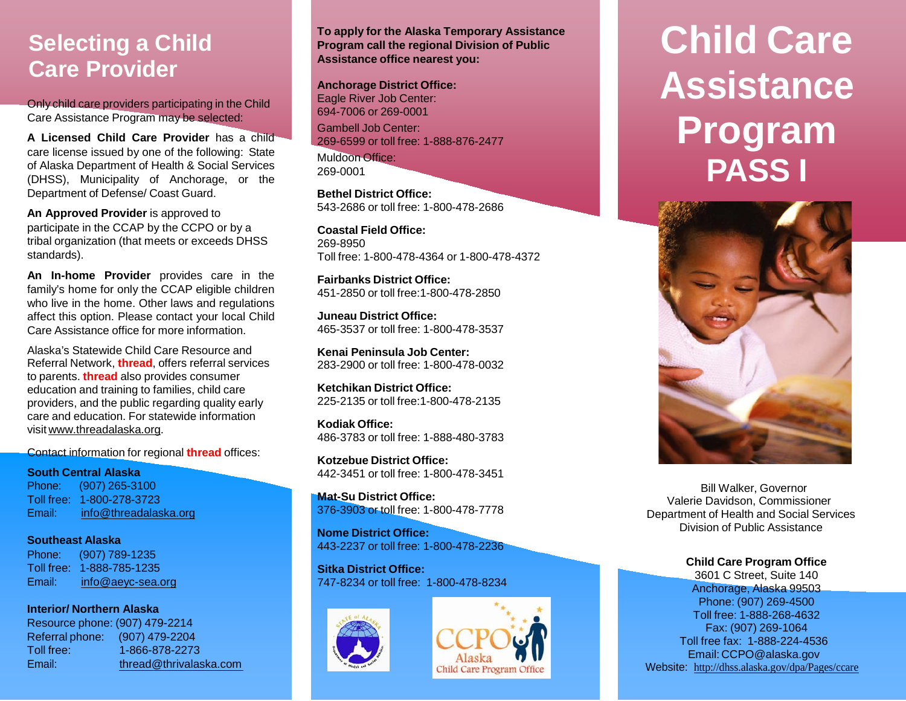### **Selecting a Child Care Provider**

Only child care providers participating in the Child Care Assistance Program may be selected:

**A Licensed Child Care Provider** has a child care license issued by one of the following: State of Alaska Department of Health & Social Services (DHSS), Municipality of Anchorage, or the Department of Defense/ Coast Guard.

**An Approved Provider** is approved to participate in the CCAP by the CCPO or by a tribal organization (that meets or exceeds DHSS standards).

**An In-home Provider** provides care in the family's home for only the CCAP eligible children who live in the home. Other laws and regulations affect this option. Please contact your local Child Care Assistance office for more information.

Alaska's Statewide Child Care Resource and Referral Network, **thread**, offers referral services to parents. **thread** also provides consumer education and training to families, child care providers, and the public regarding quality early care and education. For statewide information visit [www.threadalaska.org.](http://www.threadalaska.org/)

Contact information for regional **thread** offices:

**South Central Alaska**

Phone: (907) 265-3100 Toll free: 1-800-278-3723 Email: [info@threadalaska.org](mailto:info@threadalasak.org)

**Southeast Alaska** Phone: (907) 789-1235 Toll free: 1-888-785-1235 Email: [info@aeyc-sea.org](mailto:info@aeyc-sea.org)

**Interior/ Northern Alaska** Resource phone: (907) 479-2214 Referral phone: (907) 479-2204 Toll free: 1-866-878-2273 Email: [thread@thrivalaska.com](mailto:thread@thrivalaska.com) **To apply for the Alaska Temporary Assistance Program call the regional Division of Public Assistance office nearest you:**

#### **Anchorage District Office:**

Eagle River Job Center: 694-7006 or 269-0001 Gambell Job Center: 269-6599 or toll free: 1-888-876-2477

Muldoon Office: 269-0001

**Bethel District Office:** 543-2686 or toll free: 1-800-478-2686

**Coastal Field Office:** 269-8950 Toll free: 1-800-478-4364 or 1-800-478-4372

**Fairbanks District Office:** 451-2850 or toll free:1-800-478-2850

**Juneau District Office:** 465-3537 or toll free: 1-800-478-3537

**Kenai Peninsula Job Center:** 283-2900 or toll free: 1-800-478-0032

**Ketchikan District Office:** 225-2135 or toll free:1-800-478-2135

**Kodiak Office:** 486-3783 or toll free: 1-888-480-3783

**Kotzebue District Office:** 442-3451 or toll free: 1-800-478-3451

**Mat-Su District Office:** 376-3903 or toll free: 1-800-478-7778

**Nome District Office:** 443-2237 or toll free: 1-800-478-2236

**Sitka District Office:** 747-8234 or toll free: 1-800-478-8234





# **Child Care Assistance Program PASS I**



 Bill Walker, Governor Valerie Davidson, Commissioner Department of Health and Social Services Division of Public Assistance

#### **Child Care Program Office**

3601 C Street, Suite 140 Anchorage, Alaska 99503 Phone: (907) 269-4500 Toll free: 1-888-268-4632 Fax: (907) 269-1064 Toll free fax: 1-888-224-4536 Email: [CCPO@alaska.gov](mailto:CCPO@alaska.gov) Website: [http://dhss.alaska.gov/dpa/Pages/ccare](http://dhss.alaska.gov/dpa/Pages/ccare/default.aspx)